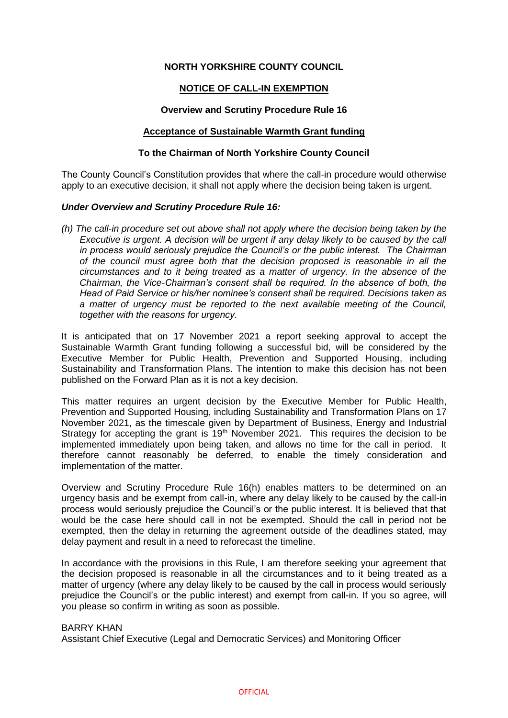# **NORTH YORKSHIRE COUNTY COUNCIL**

# **NOTICE OF CALL-IN EXEMPTION**

## **Overview and Scrutiny Procedure Rule 16**

#### **Acceptance of Sustainable Warmth Grant funding**

## **To the Chairman of North Yorkshire County Council**

The County Council's Constitution provides that where the call-in procedure would otherwise apply to an executive decision, it shall not apply where the decision being taken is urgent.

## *Under Overview and Scrutiny Procedure Rule 16:*

*(h) The call-in procedure set out above shall not apply where the decision being taken by the Executive is urgent. A decision will be urgent if any delay likely to be caused by the call in process would seriously prejudice the Council's or the public interest. The Chairman of the council must agree both that the decision proposed is reasonable in all the circumstances and to it being treated as a matter of urgency. In the absence of the Chairman, the Vice-Chairman's consent shall be required. In the absence of both, the Head of Paid Service or his/her nominee's consent shall be required. Decisions taken as a matter of urgency must be reported to the next available meeting of the Council, together with the reasons for urgency.*

It is anticipated that on 17 November 2021 a report seeking approval to accept the Sustainable Warmth Grant funding following a successful bid, will be considered by the Executive Member for Public Health, Prevention and Supported Housing, including Sustainability and Transformation Plans. The intention to make this decision has not been published on the Forward Plan as it is not a key decision.

This matter requires an urgent decision by the Executive Member for Public Health, Prevention and Supported Housing, including Sustainability and Transformation Plans on 17 November 2021, as the timescale given by Department of Business, Energy and Industrial Strategy for accepting the grant is  $19<sup>th</sup>$  November 2021. This requires the decision to be implemented immediately upon being taken, and allows no time for the call in period. It therefore cannot reasonably be deferred, to enable the timely consideration and implementation of the matter.

Overview and Scrutiny Procedure Rule 16(h) enables matters to be determined on an urgency basis and be exempt from call-in, where any delay likely to be caused by the call-in process would seriously prejudice the Council's or the public interest. It is believed that that would be the case here should call in not be exempted. Should the call in period not be exempted, then the delay in returning the agreement outside of the deadlines stated, may delay payment and result in a need to reforecast the timeline.

In accordance with the provisions in this Rule, I am therefore seeking your agreement that the decision proposed is reasonable in all the circumstances and to it being treated as a matter of urgency (where any delay likely to be caused by the call in process would seriously prejudice the Council's or the public interest) and exempt from call-in. If you so agree, will you please so confirm in writing as soon as possible.

# BARRY KHAN

Assistant Chief Executive (Legal and Democratic Services) and Monitoring Officer